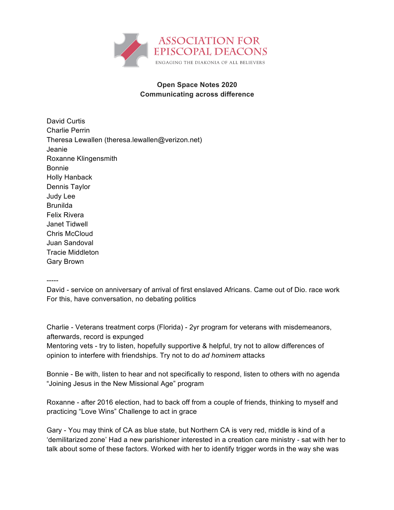

## **Open Space Notes 2020 Communicating across difference**

David Curtis Charlie Perrin Theresa Lewallen (theresa.lewallen@verizon.net) Jeanie Roxanne Klingensmith Bonnie Holly Hanback Dennis Taylor Judy Lee Brunilda Felix Rivera Janet Tidwell Chris McCloud Juan Sandoval Tracie Middleton Gary Brown

-----

David - service on anniversary of arrival of first enslaved Africans. Came out of Dio. race work For this, have conversation, no debating politics

Charlie - Veterans treatment corps (Florida) - 2yr program for veterans with misdemeanors, afterwards, record is expunged

Mentoring vets - try to listen, hopefully supportive & helpful, try not to allow differences of opinion to interfere with friendships. Try not to do *ad hominem* attacks

Bonnie - Be with, listen to hear and not specifically to respond, listen to others with no agenda "Joining Jesus in the New Missional Age" program

Roxanne - after 2016 election, had to back off from a couple of friends, thinking to myself and practicing "Love Wins" Challenge to act in grace

Gary - You may think of CA as blue state, but Northern CA is very red, middle is kind of a 'demilitarized zone' Had a new parishioner interested in a creation care ministry - sat with her to talk about some of these factors. Worked with her to identify trigger words in the way she was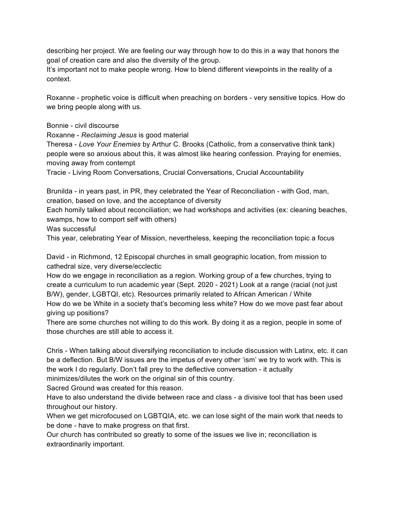describing her project. We are feeling our way through how to do this in a way that honors the goal of creation care and also the diversity of the group.

It's important not to make people wrong. How to blend different viewpoints in the reality of a context.

Roxanne - prophetic voice is difficult when preaching on borders - very sensitive topics. How do we bring people along with us.

Bonnie - civil discourse

Roxanne - *Reclaiming Jesus* is good material

Theresa - *Love Your Enemies* by Arthur C. Brooks (Catholic, from a conservative think tank) people were so anxious about this, it was almost like hearing confession. Praying for enemies, moving away from contempt

Tracie - Living Room Conversations, Crucial Conversations, Crucial Accountability

Brunilda - in years past, in PR, they celebrated the Year of Reconciliation - with God, man, creation, based on love, and the acceptance of diversity

Each homily talked about reconciliation; we had workshops and activities (ex: cleaning beaches, swamps, how to comport self with others)

Was successful

This year, celebrating Year of Mission, nevertheless, keeping the reconciliation topic a focus

David - in Richmond, 12 Episcopal churches in small geographic location, from mission to cathedral size, very diverse/ecclectic

How do we engage in reconciliation as a region. Working group of a few churches, trying to create a curriculum to run academic year (Sept. 2020 - 2021) Look at a range (racial (not just B/W), gender, LGBTQI, etc). Resources primarily related to African American / White How do we be White in a society that's becoming less white? How do we move past fear about giving up positions?

There are some churches not willing to do this work. By doing it as a region, people in some of those churches are still able to access it.

Chris - When talking about diversifying reconciliation to include discussion with Latinx, etc. it can be a deflection. But B/W issues are the impetus of every other 'ism' we try to work with. This is the work I do regularly. Don't fall prey to the deflective conversation - it actually minimizes/dilutes the work on the original sin of this country.

Sacred Ground was created for this reason.

Have to also understand the divide between race and class - a divisive tool that has been used throughout our history.

When we get microfocused on LGBTQIA, etc. we can lose sight of the main work that needs to be done - have to make progress on that first.

Our church has contributed so greatly to some of the issues we live in; reconciliation is extraordinarily important.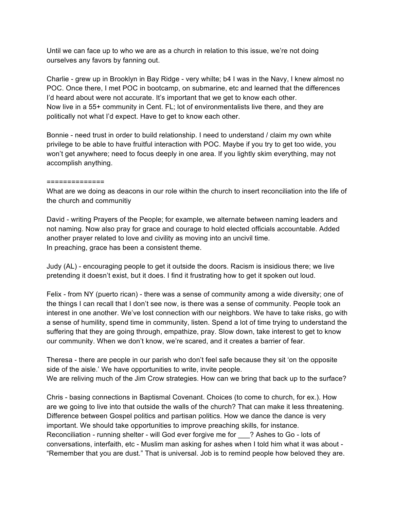Until we can face up to who we are as a church in relation to this issue, we're not doing ourselves any favors by fanning out.

Charlie - grew up in Brooklyn in Bay Ridge - very whilte; b4 I was in the Navy, I knew almost no POC. Once there, I met POC in bootcamp, on submarine, etc and learned that the differences I'd heard about were not accurate. It's important that we get to know each other. Now live in a 55+ community in Cent. FL; lot of environmentalists live there, and they are politically not what I'd expect. Have to get to know each other.

Bonnie - need trust in order to build relationship. I need to understand / claim my own white privilege to be able to have fruitful interaction with POC. Maybe if you try to get too wide, you won't get anywhere; need to focus deeply in one area. If you lightly skim everything, may not accomplish anything.

## ==============

What are we doing as deacons in our role within the church to insert reconciliation into the life of the church and communitiy

David - writing Prayers of the People; for example, we alternate between naming leaders and not naming. Now also pray for grace and courage to hold elected officials accountable. Added another prayer related to love and civility as moving into an uncivil time. In preaching, grace has been a consistent theme.

Judy (AL) - encouraging people to get it outside the doors. Racism is insidious there; we live pretending it doesn't exist, but it does. I find it frustrating how to get it spoken out loud.

Felix - from NY (puerto rican) - there was a sense of community among a wide diversity; one of the things I can recall that I don't see now, is there was a sense of community. People took an interest in one another. We've lost connection with our neighbors. We have to take risks, go with a sense of humility, spend time in community, listen. Spend a lot of time trying to understand the suffering that they are going through, empathize, pray. Slow down, take interest to get to know our community. When we don't know, we're scared, and it creates a barrier of fear.

Theresa - there are people in our parish who don't feel safe because they sit 'on the opposite side of the aisle.' We have opportunities to write, invite people. We are reliving much of the Jim Crow strategies. How can we bring that back up to the surface?

Chris - basing connections in Baptismal Covenant. Choices (to come to church, for ex.). How are we going to live into that outside the walls of the church? That can make it less threatening. Difference between Gospel politics and partisan politics. How we dance the dance is very important. We should take opportunities to improve preaching skills, for instance. Reconciliation - running shelter - will God ever forgive me for <br>
2 Ashes to Go - lots of conversations, interfaith, etc - Muslim man asking for ashes when I told him what it was about - "Remember that you are dust." That is universal. Job is to remind people how beloved they are.